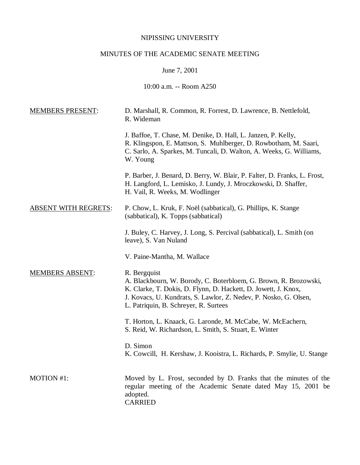## NIPISSING UNIVERSITY

# MINUTES OF THE ACADEMIC SENATE MEETING

June 7, 2001

10:00 a.m. -- Room A250

| <b>MEMBERS PRESENT:</b>     | D. Marshall, R. Common, R. Forrest, D. Lawrence, B. Nettlefold,<br>R. Wideman                                                                                                                                                                                   |
|-----------------------------|-----------------------------------------------------------------------------------------------------------------------------------------------------------------------------------------------------------------------------------------------------------------|
|                             | J. Baffoe, T. Chase, M. Denike, D. Hall, L. Janzen, P. Kelly,<br>R. Klingspon, E. Mattson, S. Muhlberger, D. Rowbotham, M. Saari,<br>C. Sarlo, A. Sparkes, M. Tuncali, D. Walton, A. Weeks, G. Williams,<br>W. Young                                            |
|                             | P. Barber, J. Benard, D. Berry, W. Blair, P. Falter, D. Franks, L. Frost,<br>H. Langford, L. Lemisko, J. Lundy, J. Mroczkowski, D. Shaffer,<br>H. Vail, R. Weeks, M. Wodlinger                                                                                  |
| <b>ABSENT WITH REGRETS:</b> | P. Chow, L. Kruk, F. Noël (sabbatical), G. Phillips, K. Stange<br>(sabbatical), K. Topps (sabbatical)                                                                                                                                                           |
|                             | J. Buley, C. Harvey, J. Long, S. Percival (sabbatical), L. Smith (on<br>leave), S. Van Nuland                                                                                                                                                                   |
|                             | V. Paine-Mantha, M. Wallace                                                                                                                                                                                                                                     |
| <b>MEMBERS ABSENT:</b>      | R. Bergquist<br>A. Blackbourn, W. Borody, C. Boterbloem, G. Brown, R. Brozowski,<br>K. Clarke, T. Dokis, D. Flynn, D. Hackett, D. Jowett, J. Knox,<br>J. Kovacs, U. Kundrats, S. Lawlor, Z. Nedev, P. Nosko, G. Olsen,<br>L. Patriquin, B. Schreyer, R. Surtees |
|                             | T. Horton, L. Knaack, G. Laronde, M. McCabe, W. McEachern,<br>S. Reid, W. Richardson, L. Smith, S. Stuart, E. Winter                                                                                                                                            |
|                             | D. Simon<br>K. Cowcill, H. Kershaw, J. Kooistra, L. Richards, P. Smylie, U. Stange                                                                                                                                                                              |
| MOTION #1:                  | Moved by L. Frost, seconded by D. Franks that the minutes of the<br>regular meeting of the Academic Senate dated May 15, 2001 be<br>adopted.<br><b>CARRIED</b>                                                                                                  |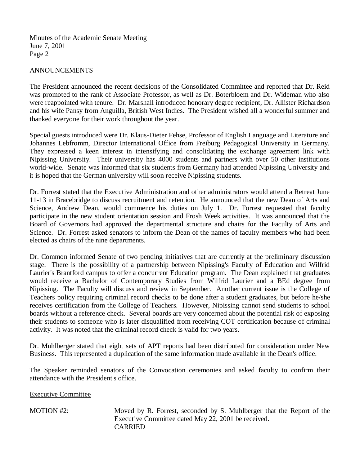#### ANNOUNCEMENTS

The President announced the recent decisions of the Consolidated Committee and reported that Dr. Reid was promoted to the rank of Associate Professor, as well as Dr. Boterbloem and Dr. Wideman who also were reappointed with tenure. Dr. Marshall introduced honorary degree recipient, Dr. Allister Richardson and his wife Pansy from Anguilla, British West Indies. The President wished all a wonderful summer and thanked everyone for their work throughout the year.

Special guests introduced were Dr. Klaus-Dieter Fehse, Professor of English Language and Literature and Johannes Lebfromm, Director International Office from Freiburg Pedagogical University in Germany. They expressed a keen interest in intensifying and consolidating the exchange agreement link with Nipissing University. Their university has 4000 students and partners with over 50 other institutions world-wide. Senate was informed that six students from Germany had attended Nipissing University and it is hoped that the German university will soon receive Nipissing students.

Dr. Forrest stated that the Executive Administration and other administrators would attend a Retreat June 11-13 in Bracebridge to discuss recruitment and retention. He announced that the new Dean of Arts and Science, Andrew Dean, would commence his duties on July 1. Dr. Forrest requested that faculty participate in the new student orientation session and Frosh Week activities. It was announced that the Board of Governors had approved the departmental structure and chairs for the Faculty of Arts and Science. Dr. Forrest asked senators to inform the Dean of the names of faculty members who had been elected as chairs of the nine departments.

Dr. Common informed Senate of two pending initiatives that are currently at the preliminary discussion stage. There is the possibility of a partnership between Nipissing's Faculty of Education and Wilfrid Laurier's Brantford campus to offer a concurrent Education program. The Dean explained that graduates would receive a Bachelor of Contemporary Studies from Wilfrid Laurier and a BEd degree from Nipissing. The Faculty will discuss and review in September. Another current issue is the College of Teachers policy requiring criminal record checks to be done after a student graduates, but before he/she receives certification from the College of Teachers. However, Nipissing cannot send students to school boards without a reference check. Several boards are very concerned about the potential risk of exposing their students to someone who is later disqualified from receiving COT certification because of criminal activity. It was noted that the criminal record check is valid for two years.

Dr. Muhlberger stated that eight sets of APT reports had been distributed for consideration under New Business. This represented a duplication of the same information made available in the Dean's office.

The Speaker reminded senators of the Convocation ceremonies and asked faculty to confirm their attendance with the President's office.

Executive Committee

MOTION #2: Moved by R. Forrest, seconded by S. Muhlberger that the Report of the Executive Committee dated May 22, 2001 be received. CARRIED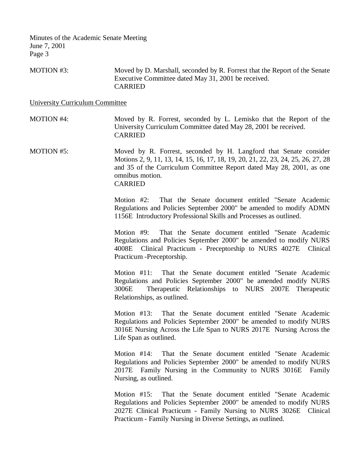MOTION #3: Moved by D. Marshall, seconded by R. Forrest that the Report of the Senate Executive Committee dated May 31, 2001 be received. CARRIED

University Curriculum Committee

MOTION #4: Moved by R. Forrest, seconded by L. Lemisko that the Report of the University Curriculum Committee dated May 28, 2001 be received. CARRIED

MOTION #5: Moved by R. Forrest, seconded by H. Langford that Senate consider Motions 2, 9, 11, 13, 14, 15, 16, 17, 18, 19, 20, 21, 22, 23, 24, 25, 26, 27, 28 and 35 of the Curriculum Committee Report dated May 28, 2001, as one omnibus motion. CARRIED

> Motion #2: That the Senate document entitled "Senate Academic Regulations and Policies September 2000" be amended to modify ADMN 1156E Introductory Professional Skills and Processes as outlined.

> Motion #9: That the Senate document entitled "Senate Academic Regulations and Policies September 2000" be amended to modify NURS 4008E Clinical Practicum - Preceptorship to NURS 4027E Clinical Practicum -Preceptorship.

> Motion #11: That the Senate document entitled "Senate Academic Regulations and Policies September 2000" be amended modify NURS 3006E Therapeutic Relationships to NURS 2007E Therapeutic Relationships, as outlined.

> Motion #13: That the Senate document entitled "Senate Academic Regulations and Policies September 2000" be amended to modify NURS 3016E Nursing Across the Life Span to NURS 2017E Nursing Across the Life Span as outlined.

> Motion #14: That the Senate document entitled "Senate Academic Regulations and Policies September 2000" be amended to modify NURS 2017E Family Nursing in the Community to NURS 3016E Family Nursing, as outlined.

> Motion #15: That the Senate document entitled "Senate Academic Regulations and Policies September 2000" be amended to modify NURS 2027E Clinical Practicum - Family Nursing to NURS 3026E Clinical Practicum - Family Nursing in Diverse Settings, as outlined.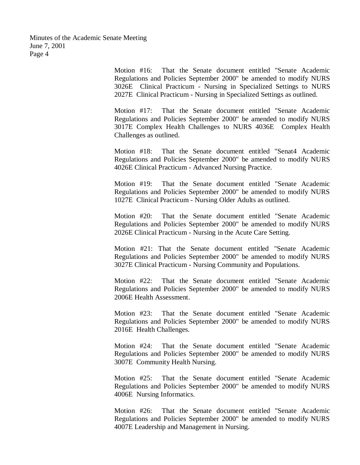> Motion #16: That the Senate document entitled "Senate Academic Regulations and Policies September 2000" be amended to modify NURS 3026E Clinical Practicum - Nursing in Specialized Settings to NURS 2027E Clinical Practicum - Nursing in Specialized Settings as outlined.

> Motion #17: That the Senate document entitled "Senate Academic Regulations and Policies September 2000" be amended to modify NURS 3017E Complex Health Challenges to NURS 4036E Complex Health Challenges as outlined.

> Motion #18: That the Senate document entitled "Senat4 Academic Regulations and Policies September 2000" be amended to modify NURS 4026E Clinical Practicum - Advanced Nursing Practice.

> Motion #19: That the Senate document entitled "Senate Academic Regulations and Policies September 2000" be amended to modify NURS 1027E Clinical Practicum - Nursing Older Adults as outlined.

> Motion #20: That the Senate document entitled "Senate Academic Regulations and Policies September 2000" be amended to modify NURS 2026E Clinical Practicum - Nursing in the Acute Care Setting.

> Motion #21: That the Senate document entitled "Senate Academic Regulations and Policies September 2000" be amended to modify NURS 3027E Clinical Practicum - Nursing Community and Populations.

> Motion #22: That the Senate document entitled "Senate Academic Regulations and Policies September 2000" be amended to modify NURS 2006E Health Assessment.

> Motion #23: That the Senate document entitled "Senate Academic Regulations and Policies September 2000" be amended to modify NURS 2016E Health Challenges.

> Motion #24: That the Senate document entitled "Senate Academic Regulations and Policies September 2000" be amended to modify NURS 3007E Community Health Nursing.

> Motion #25: That the Senate document entitled "Senate Academic Regulations and Policies September 2000" be amended to modify NURS 4006E Nursing Informatics.

> Motion #26: That the Senate document entitled "Senate Academic Regulations and Policies September 2000" be amended to modify NURS 4007E Leadership and Management in Nursing.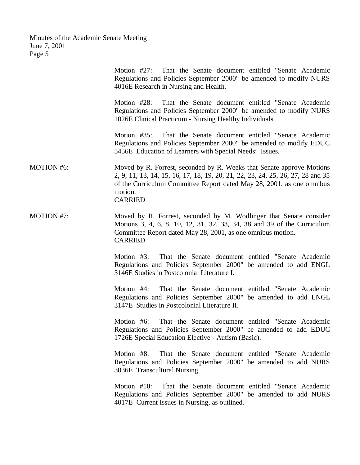|                   | Motion $#27$ :<br>That the Senate document entitled "Senate Academic<br>Regulations and Policies September 2000" be amended to modify NURS<br>4016E Research in Nursing and Health.                                                                            |
|-------------------|----------------------------------------------------------------------------------------------------------------------------------------------------------------------------------------------------------------------------------------------------------------|
|                   | Motion $#28$ :<br>That the Senate document entitled "Senate Academic"<br>Regulations and Policies September 2000" be amended to modify NURS<br>1026E Clinical Practicum - Nursing Healthy Individuals.                                                         |
|                   | That the Senate document entitled "Senate Academic<br>Motion $#35$ :<br>Regulations and Policies September 2000" be amended to modify EDUC<br>5456E Education of Learners with Special Needs: Issues.                                                          |
| <b>MOTION #6:</b> | Moved by R. Forrest, seconded by R. Weeks that Senate approve Motions<br>2, 9, 11, 13, 14, 15, 16, 17, 18, 19, 20, 21, 22, 23, 24, 25, 26, 27, 28 and 35<br>of the Curriculum Committee Report dated May 28, 2001, as one omnibus<br>motion.<br><b>CARRIED</b> |
| MOTION #7:        | Moved by R. Forrest, seconded by M. Wodlinger that Senate consider<br>Motions 3, 4, 6, 8, 10, 12, 31, 32, 33, 34, 38 and 39 of the Curriculum<br>Committee Report dated May 28, 2001, as one omnibus motion.<br><b>CARRIED</b>                                 |
|                   | Motion #3: That the Senate document entitled "Senate Academic<br>Regulations and Policies September 2000" be amended to add ENGL<br>3146E Studies in Postcolonial Literature I.                                                                                |
|                   | That the Senate document entitled "Senate Academic"<br>Motion #4:<br>Regulations and Policies September 2000" be amended to add ENGL<br>3147E Studies in Postcolonial Literature II.                                                                           |
|                   | That the Senate document entitled "Senate Academic"<br>Motion $#6$ :<br>Regulations and Policies September 2000" be amended to add EDUC<br>1726E Special Education Elective - Autism (Basic).                                                                  |
|                   | That the Senate document entitled "Senate Academic<br>Motion #8:<br>Regulations and Policies September 2000" be amended to add NURS<br>3036E Transcultural Nursing.                                                                                            |
|                   | Motion #10:<br>That the Senate document entitled "Senate Academic<br>Regulations and Policies September 2000" be amended to add NURS<br>4017E Current Issues in Nursing, as outlined.                                                                          |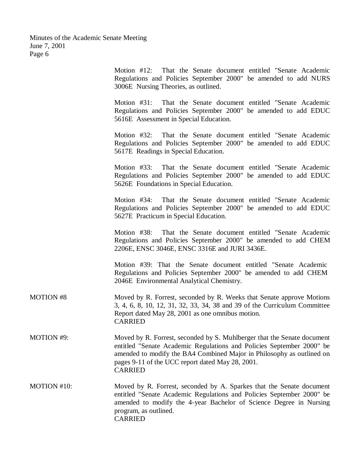Motion #12: That the Senate document entitled "Senate Academic Regulations and Policies September 2000" be amended to add NURS 3006E Nursing Theories, as outlined. Motion #31: That the Senate document entitled "Senate Academic Regulations and Policies September 2000" be amended to add EDUC 5616E Assessment in Special Education. Motion #32: That the Senate document entitled "Senate Academic Regulations and Policies September 2000" be amended to add EDUC 5617E Readings in Special Education. Motion #33: That the Senate document entitled "Senate Academic Regulations and Policies September 2000" be amended to add EDUC 5626E Foundations in Special Education. Motion #34: That the Senate document entitled "Senate Academic Regulations and Policies September 2000" be amended to add EDUC 5627E Practicum in Special Education. Motion #38: That the Senate document entitled "Senate Academic Regulations and Policies September 2000" be amended to add CHEM 2206E, ENSC 3046E, ENSC 3316E and JURI 3436E. Motion #39: That the Senate document entitled "Senate Academic Regulations and Policies September 2000" be amended to add CHEM 2046E Environmental Analytical Chemistry. MOTION #8 Moved by R. Forrest, seconded by R. Weeks that Senate approve Motions 3, 4, 6, 8, 10, 12, 31, 32, 33, 34, 38 and 39 of the Curriculum Committee Report dated May 28, 2001 as one omnibus motion. CARRIED MOTION #9: Moved by R. Forrest, seconded by S. Muhlberger that the Senate document entitled "Senate Academic Regulations and Policies September 2000" be amended to modify the BA4 Combined Major in Philosophy as outlined on pages 9-11 of the UCC report dated May 28, 2001. CARRIED MOTION #10: Moved by R. Forrest, seconded by A. Sparkes that the Senate document entitled "Senate Academic Regulations and Policies September 2000" be amended to modify the 4-year Bachelor of Science Degree in Nursing program, as outlined. CARRIED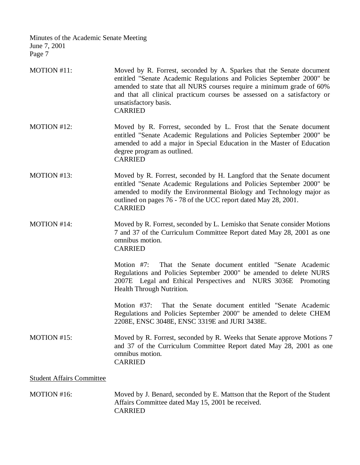| MOTION #11:                      | Moved by R. Forrest, seconded by A. Sparkes that the Senate document<br>entitled "Senate Academic Regulations and Policies September 2000" be<br>amended to state that all NURS courses require a minimum grade of 60%<br>and that all clinical practicum courses be assessed on a satisfactory or<br>unsatisfactory basis.<br><b>CARRIED</b> |
|----------------------------------|-----------------------------------------------------------------------------------------------------------------------------------------------------------------------------------------------------------------------------------------------------------------------------------------------------------------------------------------------|
| MOTION #12:                      | Moved by R. Forrest, seconded by L. Frost that the Senate document<br>entitled "Senate Academic Regulations and Policies September 2000" be<br>amended to add a major in Special Education in the Master of Education<br>degree program as outlined.<br><b>CARRIED</b>                                                                        |
| MOTION #13:                      | Moved by R. Forrest, seconded by H. Langford that the Senate document<br>entitled "Senate Academic Regulations and Policies September 2000" be<br>amended to modify the Environmental Biology and Technology major as<br>outlined on pages 76 - 78 of the UCC report dated May 28, 2001.<br><b>CARRIED</b>                                    |
| MOTION #14:                      | Moved by R. Forrest, seconded by L. Lemisko that Senate consider Motions<br>7 and 37 of the Curriculum Committee Report dated May 28, 2001 as one<br>omnibus motion.<br><b>CARRIED</b>                                                                                                                                                        |
|                                  | That the Senate document entitled "Senate Academic<br>Motion $#7$ :<br>Regulations and Policies September 2000" be amended to delete NURS<br>2007E Legal and Ethical Perspectives and NURS 3036E Promoting<br>Health Through Nutrition.                                                                                                       |
|                                  | That the Senate document entitled "Senate Academic<br>Motion $#37$ :<br>Regulations and Policies September 2000" be amended to delete CHEM<br>2208E, ENSC 3048E, ENSC 3319E and JURI 3438E.                                                                                                                                                   |
| MOTION #15:                      | Moved by R. Forrest, seconded by R. Weeks that Senate approve Motions 7<br>and 37 of the Curriculum Committee Report dated May 28, 2001 as one<br>omnibus motion.<br><b>CARRIED</b>                                                                                                                                                           |
| <b>Student Affairs Committee</b> |                                                                                                                                                                                                                                                                                                                                               |
| MOTION #16:                      | Moved by J. Benard, seconded by E. Mattson that the Report of the Student<br>Affairs Committee dated May 15, 2001 be received.<br><b>CARRIED</b>                                                                                                                                                                                              |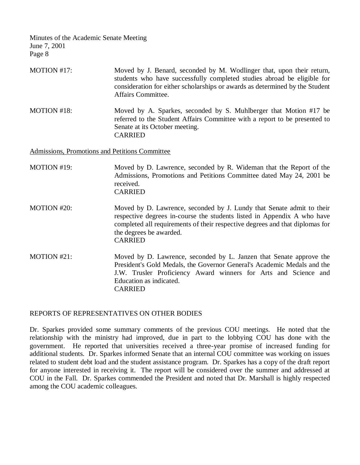- MOTION #17: Moved by J. Benard, seconded by M. Wodlinger that, upon their return, students who have successfully completed studies abroad be eligible for consideration for either scholarships or awards as determined by the Student Affairs Committee.
- MOTION #18: Moved by A. Sparkes, seconded by S. Muhlberger that Motion #17 be referred to the Student Affairs Committee with a report to be presented to Senate at its October meeting. CARRIED

Admissions, Promotions and Petitions Committee

- MOTION #19: Moved by D. Lawrence, seconded by R. Wideman that the Report of the Admissions, Promotions and Petitions Committee dated May 24, 2001 be received. CARRIED
- MOTION #20: Moved by D. Lawrence, seconded by J. Lundy that Senate admit to their respective degrees in-course the students listed in Appendix A who have completed all requirements of their respective degrees and that diplomas for the degrees be awarded. CARRIED
- MOTION #21: Moved by D. Lawrence, seconded by L. Janzen that Senate approve the President's Gold Medals, the Governor General's Academic Medals and the J.W. Trusler Proficiency Award winners for Arts and Science and Education as indicated. CARRIED

#### REPORTS OF REPRESENTATIVES ON OTHER BODIES

Dr. Sparkes provided some summary comments of the previous COU meetings. He noted that the relationship with the ministry had improved, due in part to the lobbying COU has done with the government. He reported that universities received a three-year promise of increased funding for additional students. Dr. Sparkes informed Senate that an internal COU committee was working on issues related to student debt load and the student assistance program. Dr. Sparkes has a copy of the draft report for anyone interested in receiving it. The report will be considered over the summer and addressed at COU in the Fall. Dr. Sparkes commended the President and noted that Dr. Marshall is highly respected among the COU academic colleagues.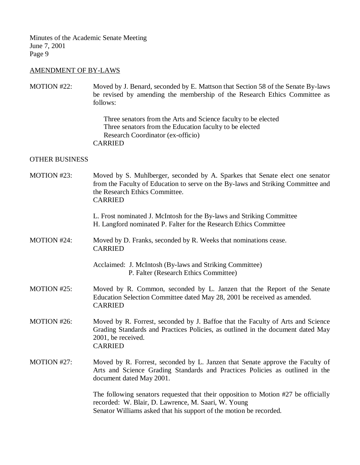## AMENDMENT OF BY-LAWS

MOTION #22: Moved by J. Benard, seconded by E. Mattson that Section 58 of the Senate By-laws be revised by amending the membership of the Research Ethics Committee as follows:

> Three senators from the Arts and Science faculty to be elected Three senators from the Education faculty to be elected Research Coordinator (ex-officio) CARRIED

### OTHER BUSINESS

| MOTION #23: | Moved by S. Muhlberger, seconded by A. Sparkes that Senate elect one senator<br>from the Faculty of Education to serve on the By-laws and Striking Committee and<br>the Research Ethics Committee.<br><b>CARRIED</b> |
|-------------|----------------------------------------------------------------------------------------------------------------------------------------------------------------------------------------------------------------------|
|             | L. Frost nominated J. McIntosh for the By-laws and Striking Committee<br>H. Langford nominated P. Falter for the Research Ethics Committee                                                                           |
| MOTION #24: | Moved by D. Franks, seconded by R. Weeks that nominations cease.<br><b>CARRIED</b>                                                                                                                                   |
|             | Acclaimed: J. McIntosh (By-laws and Striking Committee)<br>P. Falter (Research Ethics Committee)                                                                                                                     |
| MOTION #25: | Moved by R. Common, seconded by L. Janzen that the Report of the Senate<br>Education Selection Committee dated May 28, 2001 be received as amended.<br><b>CARRIED</b>                                                |
| MOTION #26: | Moved by R. Forrest, seconded by J. Baffoe that the Faculty of Arts and Science<br>Grading Standards and Practices Policies, as outlined in the document dated May<br>2001, be received.<br><b>CARRIED</b>           |
| MOTION #27: | Moved by R. Forrest, seconded by L. Janzen that Senate approve the Faculty of<br>Arts and Science Grading Standards and Practices Policies as outlined in the<br>document dated May 2001.                            |
|             | The following senators requested that their opposition to Motion #27 be officially<br>recorded: W. Blair, D. Lawrence, M. Saari, W. Young<br>Senator Williams asked that his support of the motion be recorded.      |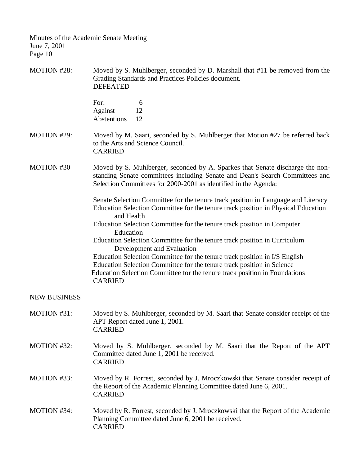| MOTION #28:         | Moved by S. Muhlberger, seconded by D. Marshall that #11 be removed from the<br>Grading Standards and Practices Policies document.<br><b>DEFEATED</b>                                                                                                |
|---------------------|------------------------------------------------------------------------------------------------------------------------------------------------------------------------------------------------------------------------------------------------------|
|                     | For:<br>6<br>Against<br>12<br>Abstentions<br>12                                                                                                                                                                                                      |
| MOTION #29:         | Moved by M. Saari, seconded by S. Muhlberger that Motion #27 be referred back<br>to the Arts and Science Council.<br><b>CARRIED</b>                                                                                                                  |
| MOTION #30          | Moved by S. Muhlberger, seconded by A. Sparkes that Senate discharge the non-<br>standing Senate committees including Senate and Dean's Search Committees and<br>Selection Committees for 2000-2001 as identified in the Agenda:                     |
|                     | Senate Selection Committee for the tenure track position in Language and Literacy<br>Education Selection Committee for the tenure track position in Physical Education<br>and Health                                                                 |
|                     | Education Selection Committee for the tenure track position in Computer<br>Education                                                                                                                                                                 |
|                     | Education Selection Committee for the tenure track position in Curriculum<br>Development and Evaluation                                                                                                                                              |
|                     | Education Selection Committee for the tenure track position in I/S English<br>Education Selection Committee for the tenure track position in Science<br>Education Selection Committee for the tenure track position in Foundations<br><b>CARRIED</b> |
| <b>NEW BUSINESS</b> |                                                                                                                                                                                                                                                      |
| MOTION #31:         | Moved by S. Muhlberger, seconded by M. Saari that Senate consider receipt of the<br>APT Report dated June 1, 2001.<br><b>CARRIED</b>                                                                                                                 |
| MOTION #32:         | Moved by S. Muhlberger, seconded by M. Saari that the Report of the APT<br>Committee dated June 1, 2001 be received.<br><b>CARRIED</b>                                                                                                               |
| MOTION #33:         | Moved by R. Forrest, seconded by J. Mroczkowski that Senate consider receipt of<br>the Report of the Academic Planning Committee dated June 6, 2001.<br><b>CARRIED</b>                                                                               |
| MOTION #34:         | Moved by R. Forrest, seconded by J. Mroczkowski that the Report of the Academic<br>Planning Committee dated June 6, 2001 be received.<br><b>CARRIED</b>                                                                                              |